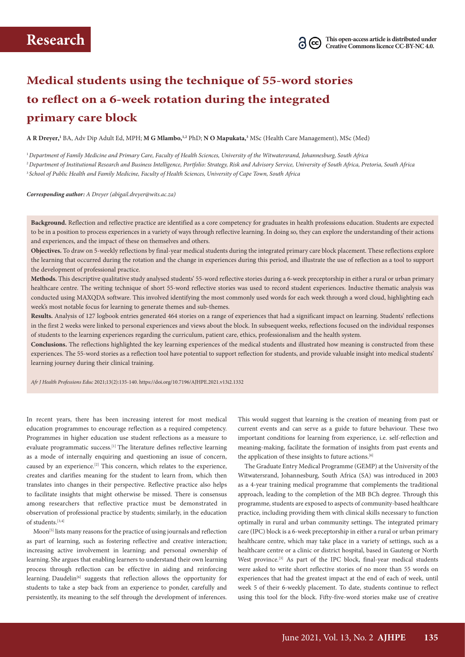# **Medical students using the technique of 55-word stories to reflect on a 6-week rotation during the integrated primary care block**

**A R Dreyer,<sup>1</sup>** BA, Adv Dip Adult Ed, MPH; **M G Mlambo,1,2** PhD; **N O Mapukata,<sup>3</sup>** MSc (Health Care Management), MSc (Med)

<sup>1</sup>*Department of Family Medicine and Primary Care, Faculty of Health Sciences, University of the Witwatersrand, Johannesburg, South Africa* <sup>2</sup>*Department of Institutional Research and Business Intelligence, Portfolio: Strategy, Risk and Advisory Service, University of South Africa, Pretoria, South Africa* <sup>3</sup>*School of Public Health and Family Medicine, Faculty of Health Sciences, University of Cape Town, South Africa*

*Corresponding author: A Dreyer [\(abigail.dreyer@wits.ac.za](mailto:abigail.dreyer@wits.ac.za))*

**Background.** Reflection and reflective practice are identified as a core competency for graduates in health professions education. Students are expected to be in a position to process experiences in a variety of ways through reflective learning. In doing so, they can explore the understanding of their actions and experiences, and the impact of these on themselves and others.

**Objectives.** To draw on 5-weekly reflections by final-year medical students during the integrated primary care block placement. These reflections explore the learning that occurred during the rotation and the change in experiences during this period, and illustrate the use of reflection as a tool to support the development of professional practice.

**Methods.** This descriptive qualitative study analysed students' 55-word reflective stories during a 6-week preceptorship in either a rural or urban primary healthcare centre. The writing technique of short 55-word reflective stories was used to record student experiences. Inductive thematic analysis was conducted using MAXQDA software. This involved identifying the most commonly used words for each week through a word cloud, highlighting each week's most notable focus for learning to generate themes and sub-themes.

**Results.** Analysis of 127 logbook entries generated 464 stories on a range of experiences that had a significant impact on learning. Students' reflections in the first 2 weeks were linked to personal experiences and views about the block. In subsequent weeks, reflections focused on the individual responses of students to the learning experiences regarding the curriculum, patient care, ethics, professionalism and the health system.

**Conclusions.** The reflections highlighted the key learning experiences of the medical students and illustrated how meaning is constructed from these experiences. The 55-word stories as a reflection tool have potential to support reflection for students, and provide valuable insight into medical students' learning journey during their clinical training.

*Afr J Health Professions Educ* 2021;13(2):135-140.<https://doi.org/10.7196/AJHPE.2021.v13i2.1332>

In recent years, there has been increasing interest for most medical education programmes to encourage reflection as a required competency. Programmes in higher education use student reflections as a measure to evaluate programmatic success.<sup>[1]</sup> The literature defines reflective learning as a mode of internally enquiring and questioning an issue of concern, caused by an experience.[2] This concern, which relates to the experience, creates and clarifies meaning for the student to learn from, which then translates into changes in their perspective. Reflective practice also helps to facilitate insights that might otherwise be missed. There is consensus among researchers that reflective practice must be demonstrated in observation of professional practice by students; similarly, in the education of students. $[3,4]$ 

Moon<sup>[5]</sup> lists many reasons for the practice of using journals and reflection as part of learning, such as fostering reflective and creative interaction; increasing active involvement in learning; and personal ownership of learning. She argues that enabling learners to understand their own learning process through reflection can be effective in aiding and reinforcing learning. Daudelin<sup>[6]</sup> suggests that reflection allows the opportunity for students to take a step back from an experience to ponder, carefully and persistently, its meaning to the self through the development of inferences.

This would suggest that learning is the creation of meaning from past or current events and can serve as a guide to future behaviour. These two important conditions for learning from experience, i.e. self-reflection and meaning-making, facilitate the formation of insights from past events and the application of these insights to future actions.<sup>[6]</sup>

The Graduate Entry Medical Programme (GEMP) at the University of the Witwatersrand, Johannesburg, South Africa (SA) was introduced in 2003 as a 4-year training medical programme that complements the traditional approach, leading to the completion of the MB BCh degree. Through this programme, students are exposed to aspects of community-based healthcare practice, including providing them with clinical skills necessary to function optimally in rural and urban community settings. The integrated primary care (IPC) block is a 6-week preceptorship in either a rural or urban primary healthcare centre, which may take place in a variety of settings, such as a healthcare centre or a clinic or district hospital, based in Gauteng or North West province.<sup>[3]</sup> As part of the IPC block, final-year medical students were asked to write short reflective stories of no more than 55 words on experiences that had the greatest impact at the end of each of week, until week 5 of their 6-weekly placement. To date, students continue to reflect using this tool for the block. Fifty-five-word stories make use of creative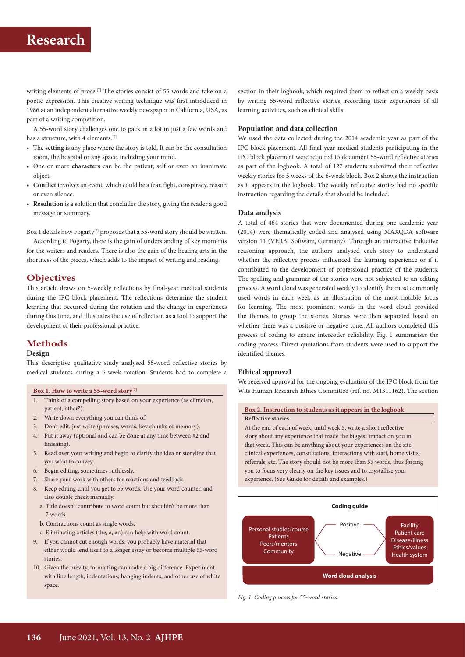writing elements of prose.<sup>[7]</sup> The stories consist of 55 words and take on a poetic expression. This creative writing technique was first introduced in 1986 at an independent alternative weekly newspaper in California, USA, as part of a writing competition.

A 55-word story challenges one to pack in a lot in just a few words and has a structure, with 4 elements:[7]

- The **setting** is any place where the story is told. It can be the consultation room, the hospital or any space, including your mind.
- One or more **characters** can be the patient, self or even an inanimate object.
- **• Conflict** involves an event, which could be a fear, fight, conspiracy, reason or even silence.
- **• Resolution** is a solution that concludes the story, giving the reader a good message or summary.

Box 1 details how Fogarty<sup>[7]</sup> proposes that a 55-word story should be written.

According to Fogarty, there is the gain of understanding of key moments for the writers and readers. There is also the gain of the healing arts in the shortness of the pieces, which adds to the impact of writing and reading.

### **Objectives**

This article draws on 5-weekly reflections by final-year medical students during the IPC block placement. The reflections determine the student learning that occurred during the rotation and the change in experiences during this time, and illustrates the use of reflection as a tool to support the development of their professional practice.

## **Methods**

### **Design**

This descriptive qualitative study analysed 55-word reflective stories by medical students during a 6-week rotation. Students had to complete a

- 1. Think of a compelling story based on your experience (as clinician, patient, other?).
- 2. Write down everything you can think of.
- 3. Don't edit, just write (phrases, words, key chunks of memory).
- 4. Put it away (optional and can be done at any time between #2 and finishing).
- 5. Read over your writing and begin to clarify the idea or storyline that you want to convey.
- 6. Begin editing, sometimes ruthlessly.
- 7. Share your work with others for reactions and feedback.
- 8. Keep editing until you get to 55 words. Use your word counter, and also double check manually.
	- a. Title doesn't contribute to word count but shouldn't be more than 7 words.
	- b. Contractions count as single words.
- c. Eliminating articles (the, a, an) can help with word count.
- 9. If you cannot cut enough words, you probably have material that either would lend itself to a longer essay or become multiple 55-word stories.
- 10. Given the brevity, formatting can make a big difference. Experiment with line length, indentations, hanging indents, and other use of white space.

section in their logbook, which required them to reflect on a weekly basis by writing 55-word reflective stories, recording their experiences of all learning activities, such as clinical skills.

#### **Population and data collection**

We used the data collected during the 2014 academic year as part of the IPC block placement. All final-year medical students participating in the IPC block placement were required to document 55-word reflective stories as part of the logbook. A total of 127 students submitted their reflective weekly stories for 5 weeks of the 6-week block. Box 2 shows the instruction as it appears in the logbook. The weekly reflective stories had no specific instruction regarding the details that should be included.

#### **Data analysis**

A total of 464 stories that were documented during one academic year (2014) were thematically coded and analysed using MAXQDA software version 11 (VERBI Software, Germany). Through an interactive inductive reasoning approach, the authors analysed each story to understand whether the reflective process influenced the learning experience or if it contributed to the development of professional practice of the students. The spelling and grammar of the stories were not subjected to an editing process. A word cloud was generated weekly to identify the most commonly used words in each week as an illustration of the most notable focus for learning. The most prominent words in the word cloud provided the themes to group the stories. Stories were then separated based on whether there was a positive or negative tone. All authors completed this process of coding to ensure intercoder reliability. Fig. 1 summarises the coding process. Direct quotations from students were used to support the identified themes.

### **Ethical approval**

We received approval for the ongoing evaluation of the IPC block from the **Box 1. How to write a 55-word story**<sup>[7]</sup> Wits Human Research Ethics Committee (ref. no. M1311162). The section

#### **Box 2. Instruction to students as it appears in the logbook Reflective stories**

At the end of each of week, until week 5, write a short reflective story about any experience that made the biggest impact on you in that week. This can be anything about your experiences on the site, clinical experiences, consultations, interactions with staff, home visits, referrals, etc. The story should not be more than 55 words, thus forcing you to focus very clearly on the key issues and to crystallise your experience. (See Guide for details and examples.)



*Fig. 1. Coding process for 55-word stories.*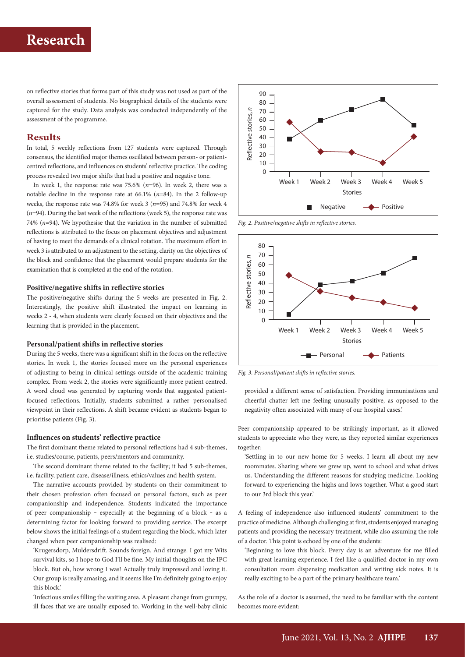on reflective stories that forms part of this study was not used as part of the overall assessment of students. No biographical details of the students were captured for the study. Data analysis was conducted independently of the assessment of the programme.

### **Results**

In total, 5 weekly reflections from 127 students were captured. Through consensus, the identified major themes oscillated between person- or patientcentred reflections, and influences on students' reflective practice. The coding process revealed two major shifts that had a positive and negative tone.

In week 1, the response rate was 75.6% (*n*=96). In week 2, there was a notable decline in the response rate at 66.1% (*n*=84). In the 2 follow-up weeks, the response rate was 74.8% for week 3 (*n*=95) and 74.8% for week 4 (*n*=94). During the last week of the reflections (week 5), the response rate was 74%  $(n=94)$ . We hypothesise that the variation in the number of submitted reflections is attributed to the focus on placement objectives and adjustment of having to meet the demands of a clinical rotation. The maximum effort in week 3 is attributed to an adjustment to the setting, clarity on the objectives of the block and confidence that the placement would prepare students for the examination that is completed at the end of the rotation.

#### **Positive/negative shifts in reflective stories**

The positive/negative shifts during the 5 weeks are presented in Fig. 2. Interestingly, the positive shift illustrated the impact on learning in weeks 2 - 4, when students were clearly focused on their objectives and the learning that is provided in the placement.

#### **Personal/patient shifts in reflective stories**

During the 5 weeks, there was a significant shift in the focus on the reflective stories. In week 1, the stories focused more on the personal experiences of adjusting to being in clinical settings outside of the academic training complex. From week 2, the stories were significantly more patient centred. A word cloud was generated by capturing words that suggested patientfocused reflections. Initially, students submitted a rather personalised viewpoint in their reflections. A shift became evident as students began to prioritise patients (Fig. 3).

#### **Influences on students' reflective practice**

The first dominant theme related to personal reflections had 4 sub-themes, i.e. studies/course, patients, peers/mentors and community.

The second dominant theme related to the facility; it had 5 sub-themes, i.e. facility, patient care, disease/illness, ethics/values and health system.

The narrative accounts provided by students on their commitment to their chosen profession often focused on personal factors, such as peer companionship and independence. Students indicated the importance of peer companionship ‒ especially at the beginning of a block ‒ as a determining factor for looking forward to providing service. The excerpt below shows the initial feelings of a student regarding the block, which later changed when peer companionship was realised:

'Krugersdorp, Muldersdrift. Sounds foreign. And strange. I got my Wits survival kits, so I hope to God I'll be fine. My initial thoughts on the IPC block. But oh, how wrong I was! Actually truly impressed and loving it. Our group is really amasing, and it seems like I'm definitely going to enjoy this block.'

'Infectious smiles filling the waiting area. A pleasant change from grumpy, ill faces that we are usually exposed to. Working in the well-baby clinic



*Fig. 2. Positive/negative shifts in reflective stories.*



*Fig. 3. Personal/patient shifts in reflective stories.* 

provided a different sense of satisfaction. Providing immunisations and cheerful chatter left me feeling unusually positive, as opposed to the negativity often associated with many of our hospital cases.'

Peer companionship appeared to be strikingly important, as it allowed students to appreciate who they were, as they reported similar experiences together:

'Settling in to our new home for 5 weeks. I learn all about my new roommates. Sharing where we grew up, went to school and what drives us. Understanding the different reasons for studying medicine. Looking forward to experiencing the highs and lows together. What a good start to our 3rd block this year.'

A feeling of independence also influenced students' commitment to the practice of medicine. Although challenging at first, students enjoyed managing patients and providing the necessary treatment, while also assuming the role of a doctor. This point is echoed by one of the students:

'Beginning to love this block. Every day is an adventure for me filled with great learning experience. I feel like a qualified doctor in my own consultation room dispensing medication and writing sick notes. It is really exciting to be a part of the primary healthcare team.'

As the role of a doctor is assumed, the need to be familiar with the content becomes more evident: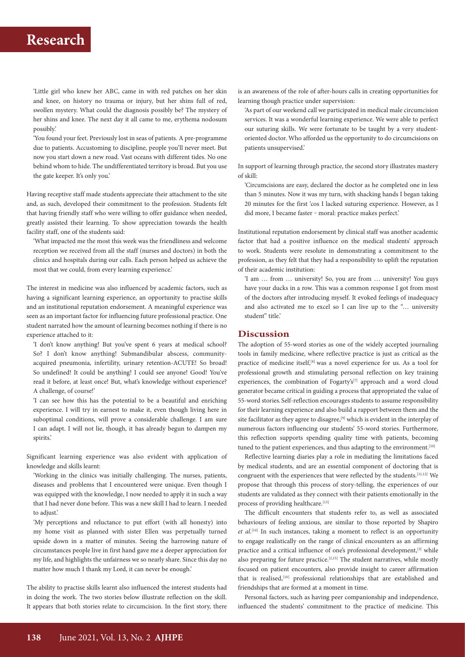'Little girl who knew her ABC, came in with red patches on her skin and knee, on history no trauma or injury, but her shins full of red, swollen mystery. What could the diagnosis possibly be? The mystery of her shins and knee. The next day it all came to me, erythema nodosum possibly.'

'You found your feet. Previously lost in seas of patients. A pre-programme due to patients. Accustoming to discipline, people you'll never meet. But now you start down a new road. Vast oceans with different tides. No one behind whom to hide. The undifferentiated territory is broad. But you use the gate keeper. It's only you.'

Having receptive staff made students appreciate their attachment to the site and, as such, developed their commitment to the profession. Students felt that having friendly staff who were willing to offer guidance when needed, greatly assisted their learning. To show appreciation towards the health facility staff, one of the students said:

'What impacted me the most this week was the friendliness and welcome reception we received from all the staff (nurses and doctors) in both the clinics and hospitals during our calls. Each person helped us achieve the most that we could, from every learning experience.'

The interest in medicine was also influenced by academic factors, such as having a significant learning experience, an opportunity to practise skills and an institutional reputation endorsement. A meaningful experience was seen as an important factor for influencing future professional practice. One student narrated how the amount of learning becomes nothing if there is no experience attached to it:

'I don't know anything! But you've spent 6 years at medical school? So? I don't know anything! Submandibular abscess, communityacquired pneumonia, infertility, urinary retention-ACUTE! So broad! So undefined! It could be anything! I could see anyone! Good! You've read it before, at least once! But, what's knowledge without experience? A challenge, of course!'

'I can see how this has the potential to be a beautiful and enriching experience. I will try in earnest to make it, even though living here in suboptimal conditions, will prove a considerable challenge. I am sure I can adapt. I will not lie, though, it has already begun to dampen my spirits.'

Significant learning experience was also evident with application of knowledge and skills learnt:

'Working in the clinics was initially challenging. The nurses, patients, diseases and problems that I encountered were unique. Even though I was equipped with the knowledge, I now needed to apply it in such a way that I had never done before. This was a new skill I had to learn. I needed to adjust.'

'My perceptions and reluctance to put effort (with all honesty) into my home visit as planned with sister Ellen was perpetually turned upside down in a matter of minutes. Seeing the harrowing nature of circumstances people live in first hand gave me a deeper appreciation for my life, and highlights the unfairness we so nearly share. Since this day no matter how much I thank my Lord, it can never be enough.'

The ability to practise skills learnt also influenced the interest students had in doing the work. The two stories below illustrate reflection on the skill. It appears that both stories relate to circumcision. In the first story, there

is an awareness of the role of after-hours calls in creating opportunities for learning though practice under supervision:

'As part of our weekend call we participated in medical male circumcision services. It was a wonderful learning experience. We were able to perfect our suturing skills. We were fortunate to be taught by a very studentoriented doctor. Who afforded us the opportunity to do circumcisions on patients unsupervised.'

In support of learning through practice, the second story illustrates mastery of skill:

'Circumcisions are easy, declared the doctor as he completed one in less than 5 minutes. Now it was my turn, with shacking hands I began taking 20 minutes for the first 'cos I lacked suturing experience. However, as I did more, I became faster - moral: practice makes perfect.'

Institutional reputation endorsement by clinical staff was another academic factor that had a positive influence on the medical students' approach to work. Students were resolute in demonstrating a commitment to the profession, as they felt that they had a responsibility to uplift the reputation of their academic institution:

'I am … from … university! So, you are from … university! You guys have your ducks in a row. This was a common response I got from most of the doctors after introducing myself. It evoked feelings of inadequacy and also activated me to excel so I can live up to the "… university student" title.'

### **Discussion**

The adoption of 55-word stories as one of the widely accepted journaling tools in family medicine, where reflective practice is just as critical as the practice of medicine itself,<sup>[8]</sup> was a novel experience for us. As a tool for professional growth and stimulating personal reflection on key training experiences, the combination of Fogarty's<sup>[7]</sup> approach and a word cloud generator became critical in guiding a process that appropriated the value of 55-word stories. Self-reflection encourages students to assume responsibility for their learning experience and also build a rapport between them and the site facilitator as they agree to disagree,<sup>[9]</sup> which is evident in the interplay of numerous factors influencing our students' 55-word stories. Furthermore, this reflection supports spending quality time with patients, becoming tuned to the patient experiences, and thus adapting to the environment.<sup>[10]</sup>

Reflective learning diaries play a role in mediating the limitations faced by medical students, and are an essential component of doctoring that is congruent with the experiences that were reflected by the students.[11,12] We propose that through this process of story-telling, the experiences of our students are validated as they connect with their patients emotionally in the process of providing healthcare.<sup>[13]</sup>

The difficult encounters that students refer to, as well as associated behaviours of feeling anxious, are similar to those reported by Shapiro *et al*. [14] In such instances, taking a moment to reflect is an opportunity to engage realistically on the range of clinical encounters as an affirming practice and a critical influence of one's professional development,<sup>[3]</sup> while also preparing for future practice.[2,15] The student narratives, while mostly focused on patient encounters, also provide insight to career affirmation that is realised,<sup>[10]</sup> professional relationships that are established and friendships that are formed at a moment in time.

Personal factors, such as having peer companionship and independence, influenced the students' commitment to the practice of medicine. This